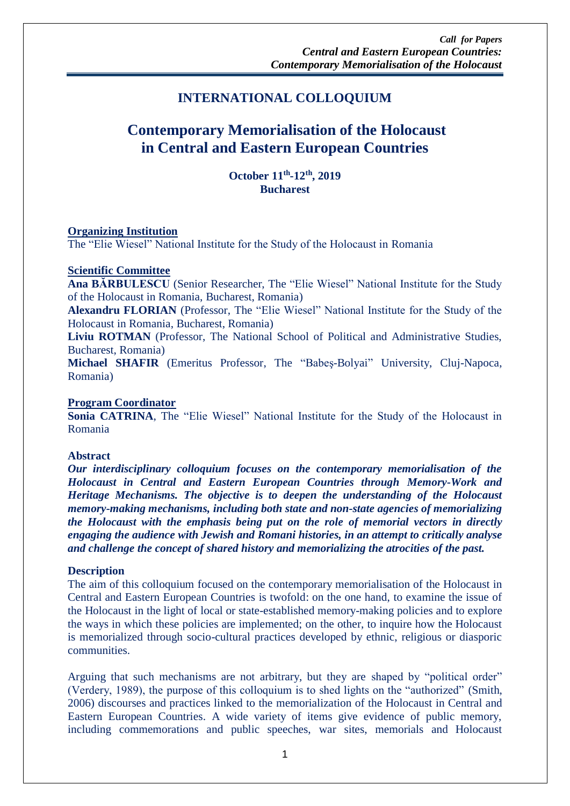# **INTERNATIONAL COLLOQUIUM**

# **Contemporary Memorialisation of the Holocaust in Central and Eastern European Countries**

**October 11th -12th, 2019 Bucharest**

# **Organizing Institution**

The "Elie Wiesel" National Institute for the Study of the Holocaust in Romania

# **Scientific Committee**

**Ana BĂRBULESCU** (Senior Researcher, The "Elie Wiesel" National Institute for the Study of the Holocaust in Romania, Bucharest, Romania)

**Alexandru FLORIAN** (Professor, The "Elie Wiesel" National Institute for the Study of the Holocaust in Romania, Bucharest, Romania)

**Liviu ROTMAN** (Professor, The National School of Political and Administrative Studies, Bucharest, Romania)

**Michael SHAFIR** (Emeritus Professor, The "Babeş-Bolyai" University, Cluj-Napoca, Romania)

#### **Program Coordinator**

Sonia CATRINA, The "Elie Wiesel" National Institute for the Study of the Holocaust in Romania

#### **Abstract**

*Our interdisciplinary colloquium focuses on the contemporary memorialisation of the Holocaust in Central and Eastern European Countries through Memory-Work and Heritage Mechanisms. The objective is to deepen the understanding of the Holocaust memory-making mechanisms, including both state and non-state agencies of memorializing the Holocaust with the emphasis being put on the role of memorial vectors in directly engaging the audience with Jewish and Romani histories, in an attempt to critically analyse and challenge the concept of shared history and memorializing the atrocities of the past.* 

#### **Description**

The aim of this colloquium focused on the contemporary memorialisation of the Holocaust in Central and Eastern European Countries is twofold: on the one hand, to examine the issue of the Holocaust in the light of local or state-established memory-making policies and to explore the ways in which these policies are implemented; on the other, to inquire how the Holocaust is memorialized through socio-cultural practices developed by ethnic, religious or diasporic communities.

Arguing that such mechanisms are not arbitrary, but they are shaped by "political order" (Verdery, 1989), the purpose of this colloquium is to shed lights on the "authorized" (Smith, 2006) discourses and practices linked to the memorialization of the Holocaust in Central and Eastern European Countries. A wide variety of items give evidence of public memory, including commemorations and public speeches, war sites, memorials and Holocaust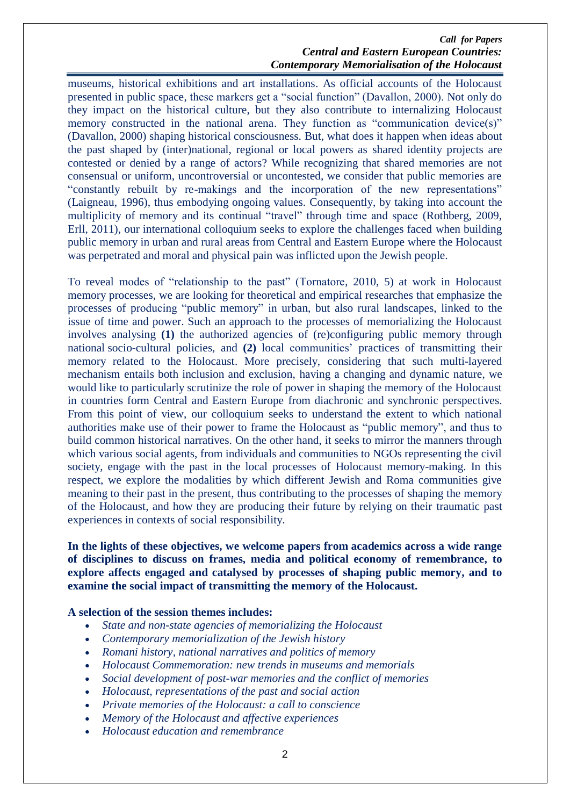#### *Call for Papers Central and Eastern European Countries: Contemporary Memorialisation of the Holocaust*

museums, historical exhibitions and art installations. As official accounts of the Holocaust presented in public space, these markers get a "social function" (Davallon, 2000). Not only do they impact on the historical culture, but they also contribute to internalizing Holocaust memory constructed in the national arena. They function as "communication device(s)" (Davallon, 2000) shaping historical consciousness. But, what does it happen when ideas about the past shaped by (inter)national, regional or local powers as shared identity projects are contested or denied by a range of actors? While recognizing that shared memories are not consensual or uniform, uncontroversial or uncontested, we consider that public memories are "constantly rebuilt by re-makings and the incorporation of the new representations" (Laigneau, 1996), thus embodying ongoing values. Consequently, by taking into account the multiplicity of memory and its continual "travel" through time and space (Rothberg, 2009, Erll, 2011), our international colloquium seeks to explore the challenges faced when building public memory in urban and rural areas from Central and Eastern Europe where the Holocaust was perpetrated and moral and physical pain was inflicted upon the Jewish people.

To reveal modes of "relationship to the past" (Tornatore, 2010, 5) at work in Holocaust memory processes, we are looking for theoretical and empirical researches that emphasize the processes of producing "public memory" in urban, but also rural landscapes, linked to the issue of time and power. Such an approach to the processes of memorializing the Holocaust involves analysing **(1)** the authorized agencies of (re)configuring public memory through national socio-cultural policies, and **(2)** local communities' practices of transmitting their memory related to the Holocaust. More precisely, considering that such multi-layered mechanism entails both inclusion and exclusion, having a changing and dynamic nature, we would like to particularly scrutinize the role of power in shaping the memory of the Holocaust in countries form Central and Eastern Europe from diachronic and synchronic perspectives. From this point of view, our colloquium seeks to understand the extent to which national authorities make use of their power to frame the Holocaust as "public memory", and thus to build common historical narratives. On the other hand, it seeks to mirror the manners through which various social agents, from individuals and communities to NGOs representing the civil society, engage with the past in the local processes of Holocaust memory-making. In this respect, we explore the modalities by which different Jewish and Roma communities give meaning to their past in the present, thus contributing to the processes of shaping the memory of the Holocaust, and how they are producing their future by relying on their traumatic past experiences in contexts of social responsibility.

# **In the lights of these objectives, we welcome papers from academics across a wide range of disciplines to discuss on frames, media and political economy of remembrance, to explore affects engaged and catalysed by processes of shaping public memory, and to examine the social impact of transmitting the memory of the Holocaust.**

#### **A selection of the session themes includes:**

- *State and non-state agencies of memorializing the Holocaust*
- *Contemporary memorialization of the Jewish history*
- *Romani history, national narratives and politics of memory*
- *Holocaust Commemoration: new trends in museums and memorials*
- *Social development of post-war memories and the conflict of memories*
- *Holocaust, representations of the past and social action*
- *Private memories of the Holocaust: a call to conscience*
- *Memory of the Holocaust and affective experiences*
- *Holocaust education and remembrance*